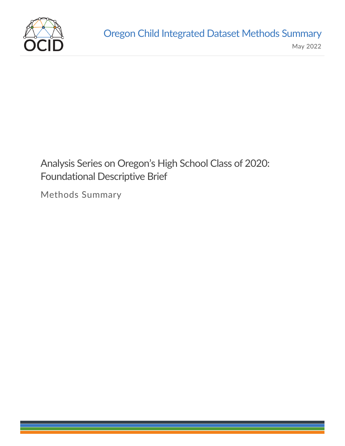

# Analysis Series on Oregon's High School Class of 2020: Foundational Descriptive Brief

Methods Summary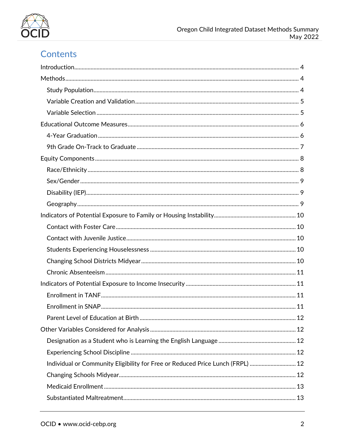

# Contents

| Individual or Community Eligibility for Free or Reduced Price Lunch (FRPL)  12 |  |
|--------------------------------------------------------------------------------|--|
|                                                                                |  |
|                                                                                |  |
|                                                                                |  |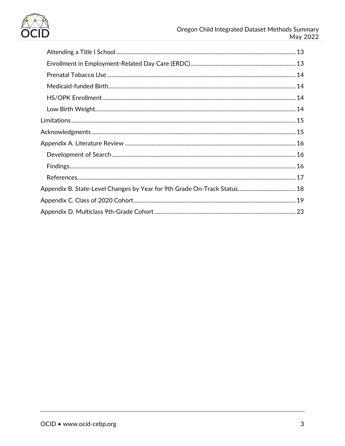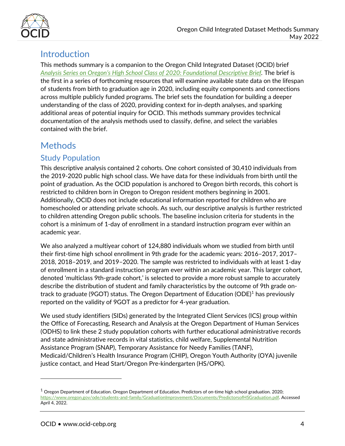

# <span id="page-3-0"></span>Introduction

This methods summary is a companion to the Oregon Child Integrated Dataset (OCID) brief *[Analysis Series on Oregon's High School Class of 2020: Foundational Descriptive Brief.](https://www.ocid-cebp.org/oregons-high-school-class-of-2020-foundational-descriptive-brief/)* The brief is the first in a series of forthcoming resources that will examine available state data on the lifespan of students from birth to graduation age in 2020, including equity components and connections across multiple publicly funded programs. The brief sets the foundation for building a deeper understanding of the class of 2020, providing context for in-depth analyses, and sparking additional areas of potential inquiry for OCID. This methods summary provides technical documentation of the analysis methods used to classify, define, and select the variables contained with the brief.

# <span id="page-3-1"></span>Methods

### <span id="page-3-2"></span>Study Population

This descriptive analysis contained 2 cohorts. One cohort consisted of 30,410 individuals from the 2019-2020 public high school class. We have data for these individuals from birth until the point of graduation. As the OCID population is anchored to Oregon birth records, this cohort is restricted to children born in Oregon to Oregon resident mothers beginning in 2001. Additionally, OCID does not include educational information reported for children who are homeschooled or attending private schools. As such, our descriptive analysis is further restricted to children attending Oregon public schools. The baseline inclusion criteria for students in the cohort is a minimum of 1-day of enrollment in a standard instruction program ever within an academic year.

We also analyzed a multiyear cohort of 124,880 individuals whom we studied from birth until their first-time high school enrollment in 9th grade for the academic years: 2016–2017, 2017– 2018, 2018–2019, and 2019–2020. The sample was restricted to individuals with at least 1-day of enrollment in a standard instruction program ever within an academic year. This larger cohort, denoted 'multiclass 9th-grade cohort,' is selected to provide a more robust sample to accurately describe the distribution of student and family characteristics by the outcome of 9th grade ontrack to graduate (9GOT) status. The Oregon Department of Education (ODE) [1](#page-3-3) has previously reported on the validity of 9GOT as a predictor for 4-year graduation.

We used study identifiers (SIDs) generated by the Integrated Client Services (ICS) group within the Office of Forecasting, Research and Analysis at the Oregon Department of Human Services (ODHS) to link these 2 study population cohorts with further educational administrative records and state administrative records in vital statistics, child welfare, Supplemental Nutrition Assistance Program (SNAP), Temporary Assistance for Needy Families (TANF), Medicaid/Children's Health Insurance Program (CHIP), Oregon Youth Authority (OYA) juvenile justice contact, and Head Start/Oregon Pre-kindergarten (HS/OPK).

l

<span id="page-3-3"></span> $1$  Oregon Department of Education. Oregon Department of Education. Predictors of on-time high school graduation. 2020; [https://www.oregon.gov/ode/students-and-family/GraduationImprovement/Documents/PredictorsofHSGraduation.pdf.](https://www.oregon.gov/ode/students-and-family/GraduationImprovement/Documents/PredictorsofHSGraduation.pdf.%20%20Accessed%20April%204) Accessed April 4, 2022.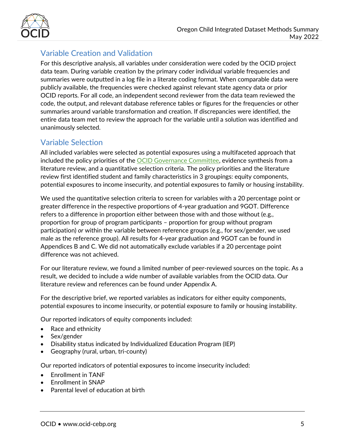

## <span id="page-4-0"></span>Variable Creation and Validation

For this descriptive analysis, all variables under consideration were coded by the OCID project data team. During variable creation by the primary coder individual variable frequencies and summaries were outputted in a log file in a literate coding format. When comparable data were publicly available, the frequencies were checked against relevant state agency data or prior OCID reports. For all code, an independent second reviewer from the data team reviewed the code, the output, and relevant database reference tables or figures for the frequencies or other summaries around variable transformation and creation. If discrepancies were identified, the entire data team met to review the approach for the variable until a solution was identified and unanimously selected.

## <span id="page-4-1"></span>Variable Selection

All included variables were selected as potential exposures using a multifaceted approach that included the policy priorities of the **OCID** Governance Committee, evidence synthesis from a literature review, and a quantitative selection criteria. The policy priorities and the literature review first identified student and family characteristics in 3 groupings: equity components, potential exposures to income insecurity, and potential exposures to family or housing instability.

We used the quantitative selection criteria to screen for variables with a 20 percentage point or greater difference in the respective proportions of 4-year graduation and 9GOT. Difference refers to a difference in proportion either between those with and those without (e.g., proportion for group of program participants – proportion for group without program participation) *or* within the variable between reference groups (e.g., for sex/gender, we used male as the reference group). All results for 4-year graduation and 9GOT can be found in Appendices B and C. We did not automatically exclude variables if a 20 percentage point difference was not achieved.

For our literature review, we found a limited number of peer-reviewed sources on the topic. As a result, we decided to include a wide number of available variables from the OCID data. Our literature review and references can be found under Appendix A.

For the descriptive brief, we reported variables as indicators for either equity components, potential exposures to income insecurity, or potential exposure to family or housing instability.

Our reported indicators of equity components included:

- Race and ethnicity
- Sex/gender
- Disability status indicated by Individualized Education Program (IEP)
- Geography (rural, urban, tri-county)

Our reported indicators of potential exposures to income insecurity included:

- Enrollment in TANF
- Enrollment in SNAP
- Parental level of education at birth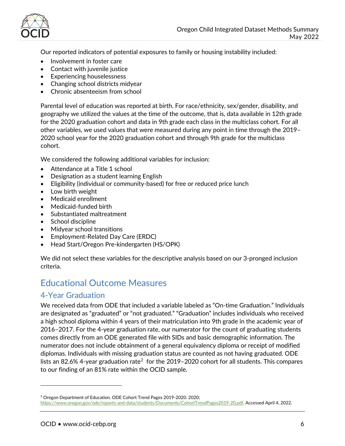

Our reported indicators of potential exposures to family or housing instability included:

- Involvement in foster care
- Contact with juvenile justice
- Experiencing houselessness
- Changing school districts midyear
- Chronic absenteeism from school

Parental level of education was reported at birth. For race/ethnicity, sex/gender, disability, and geography we utilized the values at the time of the outcome, that is, data available in 12th grade for the 2020 graduation cohort and data in 9th grade each class in the multiclass cohort. For all other variables, we used values that were measured during any point in time through the 2019– 2020 school year for the 2020 graduation cohort and through 9th grade for the multiclass cohort.

We considered the following additional variables for inclusion:

- Attendance at a Title 1 school
- Designation as a student learning English
- Eligibility (individual or community-based) for free or reduced price lunch
- Low birth weight
- Medicaid enrollment
- Medicaid-funded birth
- Substantiated maltreatment
- School discipline
- Midyear school transitions
- Employment-Related Day Care (ERDC)
- Head Start/Oregon Pre-kindergarten (HS/OPK)

We did not select these variables for the descriptive analysis based on our 3-pronged inclusion criteria.

# <span id="page-5-0"></span>Educational Outcome Measures

#### <span id="page-5-1"></span>4-Year Graduation

We received data from ODE that included a variable labeled as "On-time Graduation." Individuals are designated as "graduated" or "not graduated." "Graduation" includes individuals who received a high school diploma within 4 years of their matriculation into 9th grade in the academic year of 2016–2017. For the 4-year graduation rate, our numerator for the count of graduating students comes directly from an ODE generated file with SIDs and basic demographic information. The numerator does not include obtainment of a general equivalency diploma or receipt of modified diplomas. Individuals with missing graduation status are counted as not having graduated. ODE lists an 8[2](#page-5-2).6% 4-year graduation rate<sup>2</sup> for the 2019–2020 cohort for all students. This compares to our finding of an 81% rate within the OCID sample.

l

<span id="page-5-2"></span><sup>&</sup>lt;sup>2</sup> Oregon Department of Education. ODE Cohort Trend Pages 2019-2020. 2020; [https://www.oregon.gov/ode/reports-and-data/students/Documents/CohortTrendPages2019-20.pdf.](https://www.oregon.gov/ode/reports-and-data/students/Documents/CohortTrendPages2019-20.pdf) Accessed April 4, 2022.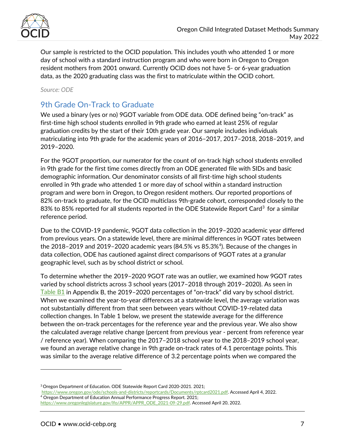

Our sample is restricted to the OCID population. This includes youth who attended 1 or more day of school with a standard instruction program and who were born in Oregon to Oregon resident mothers from 2001 onward. Currently OCID does not have 5- or 6-year graduation data, as the 2020 graduating class was the first to matriculate within the OCID cohort.

*Source: ODE*

## <span id="page-6-0"></span>9th Grade On-Track to Graduate

We used a binary (yes or no) 9GOT variable from ODE data. ODE defined being "on-track" as first-time high school students enrolled in 9th grade who earned at least 25% of regular graduation credits by the start of their 10th grade year. Our sample includes individuals matriculating into 9th grade for the academic years of 2016–2017, 2017–2018, 2018–2019, and 2019–2020.

For the 9GOT proportion, our numerator for the count of on-track high school students enrolled in 9th grade for the first time comes directly from an ODE generated file with SIDs and basic demographic information. Our denominator consists of all first-time high school students enrolled in 9th grade who attended 1 or more day of school within a standard instruction program and were born in Oregon, to Oregon resident mothers. Our reported proportions of 82% on-track to graduate, for the OCID multiclass 9th-grade cohort, corresponded closely to the 8[3](#page-6-1)% to 85% reported for all students reported in the ODE Statewide Report Card<sup>3</sup> for a similar reference period.

Due to the COVID-19 pandemic, 9GOT data collection in the 2019–2020 academic year differed from previous years. On a statewide level, there are minimal differences in 9GOT rates between the 2018–2019 and 2019–2020 academic years (84.5% vs 85.3%[4\)](#page-6-2). Because of the changes in data collection, ODE has cautioned against direct comparisons of 9GOT rates at a granular geographic level, such as by school district or school.

To determine whether the 2019–2020 9GOT rate was an outlier, we examined how 9GOT rates varied by school districts across 3 school years (2017–2018 through 2019–2020). As seen in [Table B1](#page-16-1) in Appendix B, the 2019–2020 percentages of "on-track" did vary by school district. When we examined the year-to-year differences at a statewide level, the average variation was not substantially different from that seen between years without COVID-19-related data collection changes. In Table 1 below, we present the statewide average for the difference between the on-track percentages for the reference year and the previous year. We also show the calculated average relative change (percent from previous year - percent from reference year / reference year). When comparing the 2017–2018 school year to the 2018–2019 school year, we found an average relative change in 9th grade on-track rates of 4.1 percentage points. This was similar to the average relative difference of 3.2 percentage points when we compared the

 $\overline{a}$ 

<span id="page-6-1"></span><sup>3</sup> Oregon Department of Education. ODE Statewide Report Card 2020-2021. 2021;

<span id="page-6-2"></span>[https://www.oregon.gov/ode/schools-and-districts/reportcards/Documents/rptcard2021.pdf.](https://www.oregon.gov/ode/schools-and-districts/reportcards/Documents/rptcard2021.pdf) Accessed April 4, 2022.<br><sup>4</sup> Oregon Department of Education Annual Performance Progress Report. 2021; [https://www.oregonlegislature.gov/lfo/APPR/APPR\\_ODE\\_2021-09-29.pdf.](https://www.oregonlegislature.gov/lfo/APPR/APPR_ODE_2021-09-29.pdf) Accessed April 20, 2022.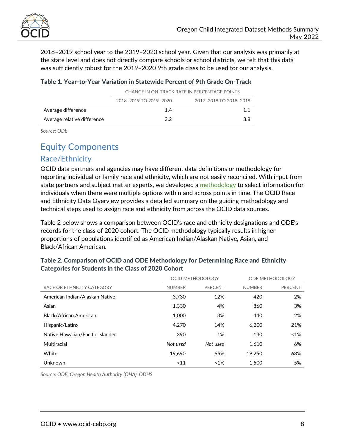

2018–2019 school year to the 2019–2020 school year. Given that our analysis was primarily at the state level and does not directly compare schools or school districts, we felt that this data was sufficiently robust for the 2019–2020 9th grade class to be used for our analysis.

#### Table 1. Year-to-Year Variation in Statewide Percent of 9th Grade On-Track

|                             | CHANGE IN ON-TRACK RATE IN PERCENTAGE POINTS |                        |  |  |  |  |  |
|-----------------------------|----------------------------------------------|------------------------|--|--|--|--|--|
|                             | 2018-2019 TO 2019-2020                       | 2017-2018 TO 2018-2019 |  |  |  |  |  |
| Average difference          | 14                                           | 11                     |  |  |  |  |  |
| Average relative difference | 32                                           | 3 R                    |  |  |  |  |  |

*Source: ODE*

## <span id="page-7-0"></span>Equity Components

#### <span id="page-7-1"></span>Race/Ethnicity

OCID data partners and agencies may have different data definitions or methodology for reporting individual or family race and ethnicity, which are not easily reconciled. With input from state partners and subject matter experts, we developed a [methodology](https://www.ocid-cebp.org/wp-content/uploads/2021/02/OCID-Race-and-Ethnicity-Data-Overview.pdf) to select information for individuals when there were multiple options within and across points in time. The OCID Race and Ethnicity Data Overview provides a detailed summary on the guiding methodology and technical steps used to assign race and ethnicity from across the OCID data sources.

Table 2 below shows a comparison between OCID's race and ethnicity designations and ODE's records for the class of 2020 cohort. The OCID methodology typically results in higher proportions of populations identified as American Indian/Alaskan Native, Asian, and Black/African American.

|                                  |               | OCID METHODOLOGY | ODE METHODOLOGY |                |  |
|----------------------------------|---------------|------------------|-----------------|----------------|--|
| RACE OR ETHNICITY CATEGORY       | <b>NUMBER</b> | <b>PERCENT</b>   | <b>NUMBER</b>   | <b>PERCENT</b> |  |
| American Indian/Alaskan Native   | 3.730         | 12%              | 420             | 2%             |  |
| Asian                            | 1.330         | 4%               | 860             | 3%             |  |
| Black/African American           | 1.000         | 3%               | 440             | 2%             |  |
| Hispanic/Latinx                  | 4.270         | 14%              | 6.200           | 21%            |  |
| Native Hawaiian/Pacific Islander | 390           | 1%               | 130             | $~1\%$         |  |
| Multiracial                      | Not used      | Not used         | 1.610           | 6%             |  |
| White                            | 19.690        | 65%              | 19.250          | 63%            |  |
| Unknown                          | ~11           | $~1\%$           | 1.500           | 5%             |  |

#### Table 2. Comparison of OCID and ODE Methodology for Determining Race and Ethnicity Categories for Students in the Class of 2020 Cohort

*Source: ODE, Oregon Health Authority (OHA), ODHS*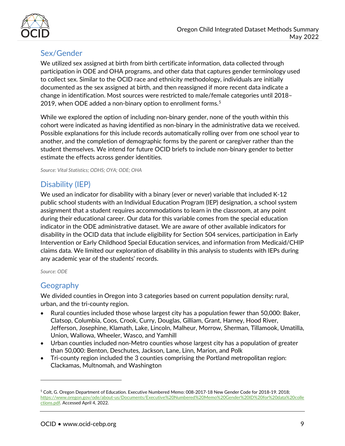

### <span id="page-8-0"></span>Sex/Gender

We utilized sex assigned at birth from birth certificate information, data collected through participation in ODE and OHA programs, and other data that captures gender terminology used to collect sex. Similar to the OCID race and ethnicity methodology, individuals are initially documented as the sex assigned at birth, and then reassigned if more recent data indicate a change in identification. Most sources were restricted to male/female categories until 2018– 2019, when ODE added a non-binary option to enrollment forms. $5$ 

While we explored the option of including non-binary gender, none of the youth within this cohort were indicated as having identified as non-binary in the administrative data we received. Possible explanations for this include records automatically rolling over from one school year to another, and the completion of demographic forms by the parent or caregiver rather than the student themselves. We intend for future OCID briefs to include non-binary gender to better estimate the effects across gender identities.

*Source: Vital Statistics; ODHS; OYA; ODE; OHA*

## <span id="page-8-1"></span>Disability (IEP)

We used an indicator for disability with a binary (ever or never) variable that included K-12 public school students with an Individual Education Program (IEP) designation, a school system assignment that a student requires accommodations to learn in the classroom, at any point during their educational career. Our data for this variable comes from the special education indicator in the ODE administrative dataset. We are aware of other available indicators for disability in the OCID data that include eligibility for Section 504 services, participation in Early Intervention or Early Childhood Special Education services, and information from Medicaid/CHIP claims data. We limited our exploration of disability in this analysis to students with IEPs during any academic year of the students' records.

*Source: ODE*

 $\overline{a}$ 

## <span id="page-8-2"></span>Geography

We divided counties in Oregon into 3 categories based on current population density**:** rural, urban, and the tri-county region.

- Rural counties included those whose largest city has a population fewer than 50,000: Baker, Clatsop, Columbia, Coos, Crook, Curry, Douglas, Gilliam, Grant, Harney, Hood River, Jefferson, Josephine, Klamath, Lake, Lincoln, Malheur, Morrow, Sherman, Tillamook, Umatilla, Union, Wallowa, Wheeler, Wasco, and Yamhill
- Urban counties included non-Metro counties whose largest city has a population of greater than 50,000: Benton, Deschutes, Jackson, Lane, Linn, Marion, and Polk
- Tri-county region included the 3 counties comprising the Portland metropolitan region: Clackamas, Multnomah, and Washington

<span id="page-8-3"></span><sup>5</sup> Colt, G. Oregon Department of Education. Executive Numbered Memo: 008-2017-18 New Gender Code for 2018-19. 2018; [https://www.oregon.gov/ode/about-us/Documents/Executive%20Numbered%20Memo%20Gender%20ID%20for%20data%20colle](https://www.oregon.gov/ode/aboutus/Documents/Executive%20Numbered%20Memo%20Gender%20ID%20for%20data%20collections.pdf) [ctions.pdf.](https://www.oregon.gov/ode/aboutus/Documents/Executive%20Numbered%20Memo%20Gender%20ID%20for%20data%20collections.pdf) Accessed April 4, 2022.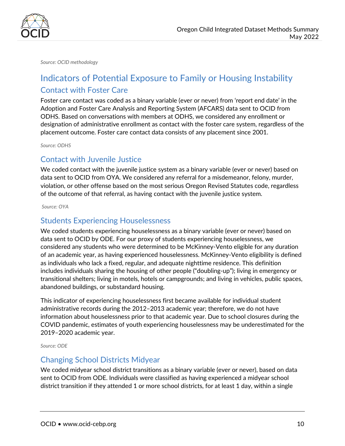

*Source: OCID methodology*

# <span id="page-9-0"></span>Indicators of Potential Exposure to Family or Housing Instability Contact with Foster Care

<span id="page-9-1"></span>Foster care contact was coded as a binary variable (ever or never) from 'report end date' in the Adoption and Foster Care Analysis and Reporting System (AFCARS) data sent to OCID from ODHS. Based on conversations with members at ODHS, we considered any enrollment or designation of administrative enrollment as contact with the foster care system, regardless of the placement outcome. Foster care contact data consists of any placement since 2001.

*Source: ODHS*

#### <span id="page-9-2"></span>Contact with Juvenile Justice

We coded contact with the juvenile justice system as a binary variable (ever or never) based on data sent to OCID from OYA. We considered any referral for a misdemeanor, felony, murder, violation, or other offense based on the most serious Oregon Revised Statutes code, regardless of the outcome of that referral, as having contact with the juvenile justice system.

*Source: OYA*

#### <span id="page-9-3"></span>Students Experiencing Houselessness

We coded students experiencing houselessness as a binary variable (ever or never) based on data sent to OCID by ODE. For our proxy of students experiencing houselessness, we considered any students who were determined to be McKinney-Vento eligible for any duration of an academic year, as having experienced houselessness. McKinney-Vento eligibility is defined as individuals who lack a fixed, regular, and adequate nighttime residence. This definition includes individuals sharing the housing of other people ("doubling-up"); living in emergency or transitional shelters; living in motels, hotels or campgrounds; and living in vehicles, public spaces, abandoned buildings, or substandard housing.

This indicator of experiencing houselessness first became available for individual student administrative records during the 2012–2013 academic year; therefore, we do not have information about houselessness prior to that academic year. Due to school closures during the COVID pandemic, estimates of youth experiencing houselessness may be underestimated for the 2019–2020 academic year.

*Source: ODE*

#### <span id="page-9-4"></span>Changing School Districts Midyear

We coded midyear school district transitions as a binary variable (ever or never), based on data sent to OCID from ODE. Individuals were classified as having experienced a midyear school district transition if they attended 1 or more school districts, for at least 1 day, within a single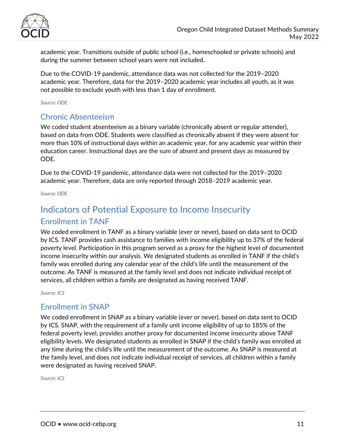

academic year. Transitions outside of public school (i.e., homeschooled or private schools) and during the summer between school years were not included.

Due to the COVID-19 pandemic, attendance data was not collected for the 2019–2020 academic year. Therefore, data for the 2019–2020 academic year includes all youth, as it was not possible to exclude youth with less than 1 day of enrollment.

*Source: ODE*

### <span id="page-10-0"></span>Chronic Absenteeism

We coded student absenteeism as a binary variable (chronically absent or regular attender), based on data from ODE. Students were classified as chronically absent if they were absent for more than 10% of instructional days within an academic year, for any academic year within their education career. Instructional days are the sum of absent and present days as measured by ODE.

Due to the COVID-19 pandemic, attendance data were not collected for the 2019–2020 academic year. Therefore, data are only reported through 2018–2019 academic year.

*Source: ODE*

# <span id="page-10-1"></span>Indicators of Potential Exposure to Income Insecurity

#### <span id="page-10-2"></span>Enrollment in TANF

We coded enrollment in TANF as a binary variable (ever or never), based on data sent to OCID by ICS. TANF provides cash assistance to families with income eligibility up to 37% of the federal poverty level. Participation in this program served as a proxy for the highest level of documented income insecurity within our analysis. We designated students as enrolled in TANF if the child's family was enrolled during any calendar year of the child's life until the measurement of the outcome. As TANF is measured at the family level and does not indicate individual receipt of services, all children within a family are designated as having received TANF.

*Source: ICS*

#### <span id="page-10-3"></span>Enrollment in SNAP

We coded enrollment in SNAP as a binary variable (ever or never), based on data sent to OCID by ICS. SNAP, with the requirement of a family unit income eligibility of up to 185% of the federal poverty level, provides another proxy for documented income insecurity above TANF eligibility levels. We designated students as enrolled in SNAP if the child's family was enrolled at any time during the child's life until the measurement of the outcome. As SNAP is measured at the family level, and does not indicate individual receipt of services, all children within a family were designated as having received SNAP.

*Source: ICS*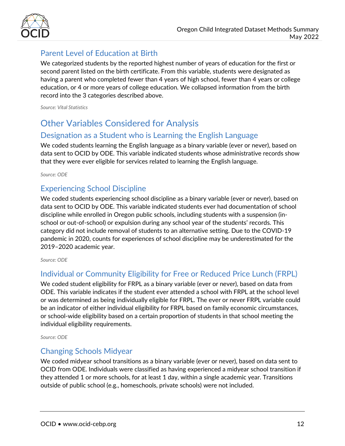

## <span id="page-11-0"></span>Parent Level of Education at Birth

We categorized students by the reported highest number of years of education for the first or second parent listed on the birth certificate. From this variable, students were designated as having a parent who completed fewer than 4 years of high school, fewer than 4 years or college education, or 4 or more years of college education. We collapsed information from the birth record into the 3 categories described above.

*Source: Vital Statistics*

# <span id="page-11-1"></span>Other Variables Considered for Analysis

## <span id="page-11-2"></span>Designation as a Student who is Learning the English Language

We coded students learning the English language as a binary variable (ever or never), based on data sent to OCID by ODE. This variable indicated students whose administrative records show that they were ever eligible for services related to learning the English language.

*Source: ODE*

### <span id="page-11-3"></span>Experiencing School Discipline

We coded students experiencing school discipline as a binary variable (ever or never), based on data sent to OCID by ODE. This variable indicated students ever had documentation of school discipline while enrolled in Oregon public schools, including students with a suspension (inschool or out-of-school) or expulsion during any school year of the students' records. This category did not include removal of students to an alternative setting. Due to the COVID-19 pandemic in 2020, counts for experiences of school discipline may be underestimated for the 2019–2020 academic year.

*Source: ODE*

## <span id="page-11-4"></span>Individual or Community Eligibility for Free or Reduced Price Lunch (FRPL)

We coded student eligibility for FRPL as a binary variable (ever or never), based on data from ODE. This variable indicates if the student ever attended a school with FRPL at the school level or was determined as being individually eligible for FRPL. The ever or never FRPL variable could be an indicator of either individual eligibility for FRPL based on family economic circumstances, or school-wide eligibility based on a certain proportion of students in that school meeting the individual eligibility requirements.

*Source: ODE*

### <span id="page-11-5"></span>Changing Schools Midyear

We coded midyear school transitions as a binary variable (ever or never), based on data sent to OCID from ODE. Individuals were classified as having experienced a midyear school transition if they attended 1 or more schools, for at least 1 day, within a single academic year. Transitions outside of public school (e.g., homeschools, private schools) were not included.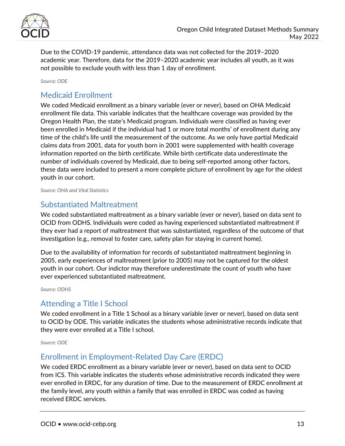

Due to the COVID-19 pandemic, attendance data was not collected for the 2019–2020 academic year. Therefore, data for the 2019–2020 academic year includes all youth, as it was not possible to exclude youth with less than 1 day of enrollment.

*Source: ODE*

### <span id="page-12-0"></span>Medicaid Enrollment

We coded Medicaid enrollment as a binary variable (ever or never), based on OHA Medicaid enrollment file data. This variable indicates that the healthcare coverage was provided by the Oregon Health Plan, the state's Medicaid program. Individuals were classified as having ever been enrolled in Medicaid if the individual had 1 or more total months' of enrollment during any time of the child's life until the measurement of the outcome. As we only have partial Medicaid claims data from 2001, data for youth born in 2001 were supplemented with health coverage information reported on the birth certificate. While birth certificate data underestimate the number of individuals covered by Medicaid, due to being self-reported among other factors, these data were included to present a more complete picture of enrollment by age for the oldest youth in our cohort.

*Source: OHA and Vital Statistics*

#### <span id="page-12-1"></span>Substantiated Maltreatment

We coded substantiated maltreatment as a binary variable (ever or never), based on data sent to OCID from ODHS. Individuals were coded as having experienced substantiated maltreatment if they ever had a report of maltreatment that was substantiated, regardless of the outcome of that investigation (e.g., removal to foster care, safety plan for staying in current home).

Due to the availability of information for records of substantiated maltreatment beginning in 2005, early experiences of maltreatment (prior to 2005) may not be captured for the oldest youth in our cohort. Our indictor may therefore underestimate the count of youth who have ever experienced substantiated maltreatment.

*Source: ODHS*

### <span id="page-12-2"></span>Attending a Title I School

We coded enrollment in a Title 1 School as a binary variable (ever or never), based on data sent to OCID by ODE. This variable indicates the students whose administrative records indicate that they were ever enrolled at a Title I school.

*Source: ODE*

### <span id="page-12-3"></span>Enrollment in Employment-Related Day Care (ERDC)

We coded ERDC enrollment as a binary variable (ever or never), based on data sent to OCID from ICS. This variable indicates the students whose administrative records indicated they were ever enrolled in ERDC, for any duration of time. Due to the measurement of ERDC enrollment at the family level, any youth within a family that was enrolled in ERDC was coded as having received ERDC services.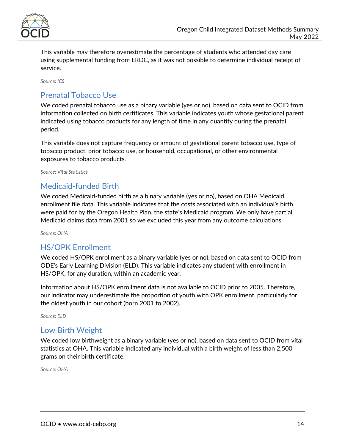

This variable may therefore overestimate the percentage of students who attended day care using supplemental funding from ERDC, as it was not possible to determine individual receipt of service.

*Source: ICS*

## <span id="page-13-0"></span>Prenatal Tobacco Use

We coded prenatal tobacco use as a binary variable (yes or no), based on data sent to OCID from information collected on birth certificates. This variable indicates youth whose gestational parent indicated using tobacco products for any length of time in any quantity during the prenatal period.

This variable does not capture frequency or amount of gestational parent tobacco use, type of tobacco product, prior tobacco use, or household, occupational, or other environmental exposures to tobacco products.

*Source: Vital Statistics*

### <span id="page-13-1"></span>Medicaid-funded Birth

We coded Medicaid-funded birth as a binary variable (yes or no), based on OHA Medicaid enrollment file data. This variable indicates that the costs associated with an individual's birth were paid for by the Oregon Health Plan, the state's Medicaid program. We only have partial Medicaid claims data from 2001 so we excluded this year from any outcome calculations.

*Source: OHA*

### <span id="page-13-2"></span>HS/OPK Enrollment

We coded HS/OPK enrollment as a binary variable (yes or no), based on data sent to OCID from ODE's Early Learning Division (ELD). This variable indicates any student with enrollment in HS/OPK, for any duration, within an academic year.

Information about HS/OPK enrollment data is not available to OCID prior to 2005. Therefore, our indicator may underestimate the proportion of youth with OPK enrollment, particularly for the oldest youth in our cohort (born 2001 to 2002).

*Source: ELD*

#### <span id="page-13-3"></span>Low Birth Weight

We coded low birthweight as a binary variable (yes or no), based on data sent to OCID from vital statistics at OHA. This variable indicated any individual with a birth weight of less than 2,500 grams on their birth certificate.

*Source: OHA*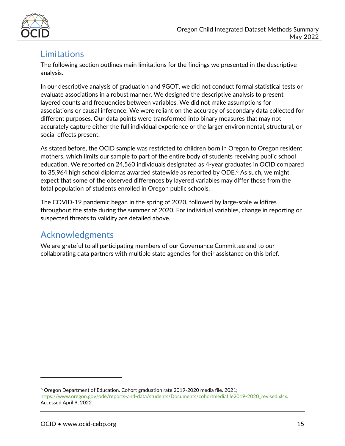

# <span id="page-14-0"></span>**Limitations**

The following section outlines main limitations for the findings we presented in the descriptive analysis.

In our descriptive analysis of graduation and 9GOT, we did not conduct formal statistical tests or evaluate associations in a robust manner. We designed the descriptive analysis to present layered counts and frequencies between variables. We did not make assumptions for associations or causal inference. We were reliant on the accuracy of secondary data collected for different purposes. Our data points were transformed into binary measures that may not accurately capture either the full individual experience or the larger environmental, structural, or social effects present.

As stated before, the OCID sample was restricted to children born in Oregon to Oregon resident mothers, which limits our sample to part of the entire body of students receiving public school education. We reported on 24,560 individuals designated as 4-year graduates in OCID compared to 35,964 high school diplomas awarded statewide as reported by ODE. [6](#page-14-2) As such, we might expect that some of the observed differences by layered variables may differ those from the total population of students enrolled in Oregon public schools.

The COVID-19 pandemic began in the spring of 2020, followed by large-scale wildfires throughout the state during the summer of 2020. For individual variables, change in reporting or suspected threats to validity are detailed above.

# <span id="page-14-1"></span>Acknowledgments

We are grateful to all participating members of our Governance Committee and to our collaborating data partners with multiple state agencies for their assistance on this brief.

 $\overline{a}$ 

<span id="page-14-2"></span> $6$  Oregon Department of Education. Cohort graduation rate 2019-2020 media file. 2021; [https://www.oregon.gov/ode/reports-and-data/students/Documents/cohortmediafile2019-2020\\_revised.xlsx.](https://www.oregon.gov/ode/reports-and-data/students/Documents/cohortmediafile2019-2020_revised.xlsx)  Accessed April 9, 2022.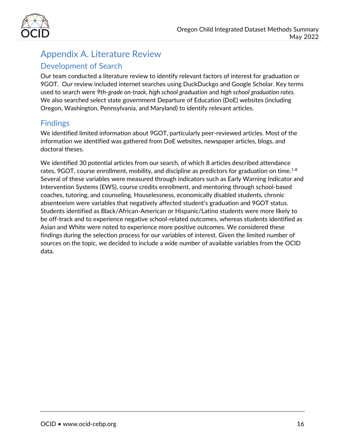

# <span id="page-15-0"></span>Appendix A. Literature Review

### <span id="page-15-1"></span>Development of Search

Our team conducted a literature review to identify relevant factors of interest for graduation or 9GOT. Our review included internet searches using DuckDuckgo and Google Scholar. Key terms used to search were *9th-grade on-track*, *high school graduation* and *high school graduation rates*. We also searched select state government Departure of Education (DoE) websites (including Oregon, Washington, Pennsylvania, and Maryland) to identify relevant articles.

### <span id="page-15-2"></span>Findings

We identified limited information about 9GOT, particularly peer-reviewed articles. Most of the information we identified was gathered from DoE websites, newspaper articles, blogs, and doctoral theses.

We identified 30 potential articles from our search, of which 8 articles described attendance rates, 9GOT, course enrollment, mobility, and discipline as predictors for graduation on time. $^{1\text{-}8}$ Several of these variables were measured through indicators such as Early Warning Indicator and Intervention Systems (EWS), course credits enrollment, and mentoring through school-based coaches, tutoring, and counseling. Houselessness, economically disabled students, chronic absenteeism were variables that negatively affected student's graduation and 9GOT status. Students identified as Black/African-American or Hispanic/Latino students were more likely to be off-track and to experience negative school-related outcomes, whereas students identified as Asian and White were noted to experience more positive outcomes. We considered these findings during the selection process for our variables of interest. Given the limited number of sources on the topic, we decided to include a wide number of available variables from the OCID data.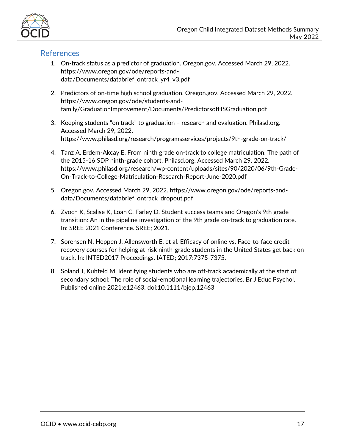

### <span id="page-16-0"></span>References

- 1. On-track status as a predictor of graduation. Oregon.gov. Accessed March 29, 2022. https://www.oregon.gov/ode/reports-anddata/Documents/databrief\_ontrack\_yr4\_v3.pdf
- 2. Predictors of on-time high school graduation. Oregon.gov. Accessed March 29, 2022. https://www.oregon.gov/ode/students-andfamily/GraduationImprovement/Documents/PredictorsofHSGraduation.pdf
- 3. Keeping students "on track" to graduation research and evaluation. Philasd.org. Accessed March 29, 2022. https://www.philasd.org/research/programsservices/projects/9th-grade-on-track/
- 4. Tanz A, Erdem-Akcay E. From ninth grade on-track to college matriculation: The path of the 2015-16 SDP ninth-grade cohort. Philasd.org. Accessed March 29, 2022. https://www.philasd.org/research/wp-content/uploads/sites/90/2020/06/9th-Grade-On-Track-to-College-Matriculation-Research-Report-June-2020.pdf
- 5. Oregon.gov. Accessed March 29, 2022. https://www.oregon.gov/ode/reports-anddata/Documents/databrief\_ontrack\_dropout.pdf
- 6. Zvoch K, Scalise K, Loan C, Farley D. Student success teams and Oregon's 9th grade transition: An in the pipeline investigation of the 9th grade on-track to graduation rate. In: SREE 2021 Conference. SREE; 2021.
- 7. Sorensen N, Heppen J, Allensworth E, et al. Efficacy of online vs. Face-to-face credit recovery courses for helping at-risk ninth-grade students in the United States get back on track. In: INTED2017 Proceedings. IATED; 2017:7375-7375.
- <span id="page-16-1"></span>8. Soland J, Kuhfeld M. Identifying students who are off-track academically at the start of secondary school: The role of social-emotional learning trajectories. Br J Educ Psychol. Published online 2021:e12463. doi:10.1111/bjep.12463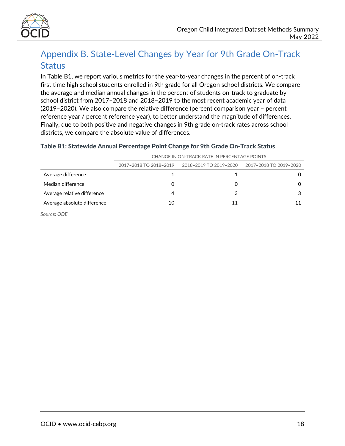

# <span id="page-17-0"></span>Appendix B. State-Level Changes by Year for 9th Grade On-Track **Status**

In Table B1, we report various metrics for the year-to-year changes in the percent of on-track first time high school students enrolled in 9th grade for all Oregon school districts. We compare the average and median annual changes in the percent of students on-track to graduate by school district from 2017–2018 and 2018–2019 to the most recent academic year of data (2019–2020). We also compare the relative difference (percent comparison year – percent reference year / percent reference year), to better understand the magnitude of differences. Finally, due to both positive and negative changes in 9th grade on-track rates across school districts, we compare the absolute value of differences.

#### Table B1: Statewide Annual Percentage Point Change for 9th Grade On-Track Status

|                             | CHANGE IN ON-TRACK RATE IN PERCENTAGE POINTS |                                               |   |  |  |  |  |
|-----------------------------|----------------------------------------------|-----------------------------------------------|---|--|--|--|--|
|                             | 2017-2018 TO 2018-2019                       | 2018-2019 TO 2019-2020 2017-2018 TO 2019-2020 |   |  |  |  |  |
| Average difference          |                                              |                                               |   |  |  |  |  |
| Median difference           | 0                                            | Ω                                             |   |  |  |  |  |
| Average relative difference | 4                                            | 3                                             | 3 |  |  |  |  |
| Average absolute difference | 10                                           | 11                                            |   |  |  |  |  |
| Source: ODE                 |                                              |                                               |   |  |  |  |  |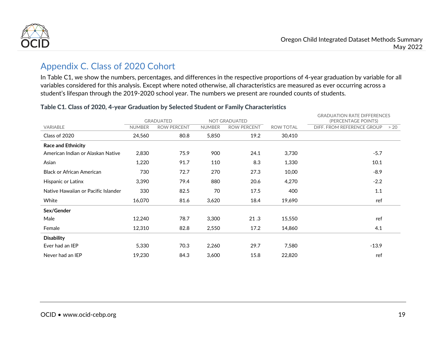

# Appendix C. Class of 2020 Cohort

In Table C1, we show the numbers, percentages, and differences in the respective proportions of 4-year graduation by variable for all variables considered for this analysis. Except where noted otherwise, all characteristics are measured as ever occurring across a student's lifespan through the 2019-2020 school year. The numbers we present are rounded counts of students.

<span id="page-18-0"></span>

|                                     |               | <b>GRADUATED</b>   | <b>NOT GRADUATED</b> |                    |                  | <b>GRADUATION RATE DIFFERENCES</b><br>(PERCENTAGE POINTS) |     |
|-------------------------------------|---------------|--------------------|----------------------|--------------------|------------------|-----------------------------------------------------------|-----|
| <b>VARIABLE</b>                     | <b>NUMBER</b> | <b>ROW PERCENT</b> | <b>NUMBER</b>        | <b>ROW PERCENT</b> | <b>ROW TOTAL</b> | DIFF. FROM REFERENCE GROUP                                | >20 |
| Class of 2020                       | 24,560        | 80.8               | 5,850                | 19.2               | 30,410           |                                                           |     |
| <b>Race and Ethnicity</b>           |               |                    |                      |                    |                  |                                                           |     |
| American Indian or Alaskan Native   | 2,830         | 75.9               | 900                  | 24.1               | 3,730            | $-5.7$                                                    |     |
| Asian                               | 1,220         | 91.7               | 110                  | 8.3                | 1,330            | 10.1                                                      |     |
| <b>Black or African American</b>    | 730           | 72.7               | 270                  | 27.3               | 10,00            | $-8.9$                                                    |     |
| Hispanic or Latinx                  | 3,390         | 79.4               | 880                  | 20.6               | 4,270            | $-2.2$                                                    |     |
| Native Hawaiian or Pacific Islander | 330           | 82.5               | 70                   | 17.5               | 400              | 1.1                                                       |     |
| White                               | 16,070        | 81.6               | 3,620                | 18.4               | 19,690           | ref                                                       |     |
| Sex/Gender                          |               |                    |                      |                    |                  |                                                           |     |
| Male                                | 12,240        | 78.7               | 3,300                | 21.3               | 15,550           | ref                                                       |     |
| Female                              | 12,310        | 82.8               | 2,550                | 17.2               | 14,860           | 4.1                                                       |     |
| <b>Disability</b>                   |               |                    |                      |                    |                  |                                                           |     |
| Ever had an IEP                     | 5,330         | 70.3               | 2,260                | 29.7               | 7,580            | $-13.9$                                                   |     |
| Never had an IEP                    | 19,230        | 84.3               | 3,600                | 15.8               | 22,820           | ref                                                       |     |

#### Table C1. Class of 2020, 4-year Graduation by Selected Student or Family Characteristics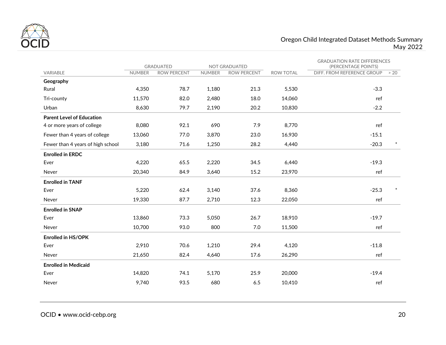

#### Oregon Child Integrated Dataset Methods Summary May 2022

|                                   | <b>GRADUATED</b><br><b>NOT GRADUATED</b> |                    |               | <b>GRADUATION RATE DIFFERENCES</b><br>(PERCENTAGE POINTS) |                  |                            |        |
|-----------------------------------|------------------------------------------|--------------------|---------------|-----------------------------------------------------------|------------------|----------------------------|--------|
| VARIABLE                          | <b>NUMBER</b>                            | <b>ROW PERCENT</b> | <b>NUMBER</b> | <b>ROW PERCENT</b>                                        | <b>ROW TOTAL</b> | DIFF. FROM REFERENCE GROUP | >20    |
| Geography                         |                                          |                    |               |                                                           |                  |                            |        |
| Rural                             | 4,350                                    | 78.7               | 1,180         | 21.3                                                      | 5,530            | $-3.3$                     |        |
| Tri-county                        | 11,570                                   | 82.0               | 2,480         | 18.0                                                      | 14,060           | ref                        |        |
| Urban                             | 8,630                                    | 79.7               | 2,190         | 20.2                                                      | 10,830           | $-2.2$                     |        |
| <b>Parent Level of Education</b>  |                                          |                    |               |                                                           |                  |                            |        |
| 4 or more years of college        | 8,080                                    | 92.1               | 690           | 7.9                                                       | 8,770            | ref                        |        |
| Fewer than 4 years of college     | 13,060                                   | 77.0               | 3,870         | 23.0                                                      | 16,930           | $-15.1$                    |        |
| Fewer than 4 years of high school | 3,180                                    | 71.6               | 1,250         | 28.2                                                      | 4,440            | $-20.3$                    | $\ast$ |
| <b>Enrolled in ERDC</b>           |                                          |                    |               |                                                           |                  |                            |        |
| Ever                              | 4,220                                    | 65.5               | 2,220         | 34.5                                                      | 6,440            | $-19.3$                    |        |
| Never                             | 20,340                                   | 84.9               | 3,640         | 15.2                                                      | 23,970           | ref                        |        |
| <b>Enrolled in TANF</b>           |                                          |                    |               |                                                           |                  |                            |        |
| Ever                              | 5,220                                    | 62.4               | 3,140         | 37.6                                                      | 8,360            | $-25.3$                    | $\ast$ |
| Never                             | 19,330                                   | 87.7               | 2,710         | 12.3                                                      | 22,050           | ref                        |        |
| <b>Enrolled in SNAP</b>           |                                          |                    |               |                                                           |                  |                            |        |
| Ever                              | 13,860                                   | 73.3               | 5,050         | 26.7                                                      | 18,910           | $-19.7$                    |        |
| Never                             | 10,700                                   | 93.0               | 800           | 7.0                                                       | 11,500           | ref                        |        |
| <b>Enrolled in HS/OPK</b>         |                                          |                    |               |                                                           |                  |                            |        |
| Ever                              | 2,910                                    | 70.6               | 1,210         | 29.4                                                      | 4,120            | $-11.8$                    |        |
| Never                             | 21,650                                   | 82.4               | 4,640         | 17.6                                                      | 26,290           | ref                        |        |
| <b>Enrolled in Medicaid</b>       |                                          |                    |               |                                                           |                  |                            |        |
| Ever                              | 14,820                                   | 74.1               | 5,170         | 25.9                                                      | 20,000           | $-19.4$                    |        |
| Never                             | 9,740                                    | 93.5               | 680           | 6.5                                                       | 10,410           | ref                        |        |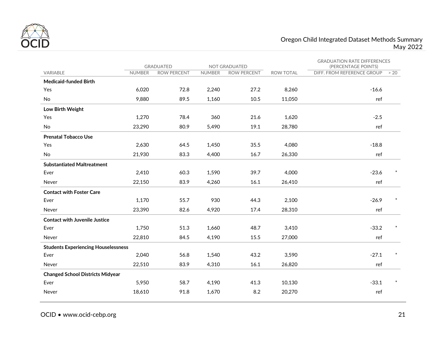

#### Oregon Child Integrated Dataset Methods Summary May 2022

|                                            | <b>GRADUATED</b> |                    | <b>NOT GRADUATED</b> |                    |                  | <b>GRADUATION RATE DIFFERENCES</b><br>(PERCENTAGE POINTS) |        |
|--------------------------------------------|------------------|--------------------|----------------------|--------------------|------------------|-----------------------------------------------------------|--------|
| <b>VARIABLE</b>                            | <b>NUMBER</b>    | <b>ROW PERCENT</b> | <b>NUMBER</b>        | <b>ROW PERCENT</b> | <b>ROW TOTAL</b> | DIFF. FROM REFERENCE GROUP                                | >20    |
| <b>Medicaid-funded Birth</b>               |                  |                    |                      |                    |                  |                                                           |        |
| Yes                                        | 6,020            | 72.8               | 2,240                | 27.2               | 8,260            | $-16.6$                                                   |        |
| <b>No</b>                                  | 9,880            | 89.5               | 1,160                | 10.5               | 11,050           | ref                                                       |        |
| Low Birth Weight                           |                  |                    |                      |                    |                  |                                                           |        |
| Yes                                        | 1,270            | 78.4               | 360                  | 21.6               | 1,620            | $-2.5$                                                    |        |
| No                                         | 23,290           | 80.9               | 5,490                | 19.1               | 28,780           | ref                                                       |        |
| <b>Prenatal Tobacco Use</b>                |                  |                    |                      |                    |                  |                                                           |        |
| Yes                                        | 2,630            | 64.5               | 1,450                | 35.5               | 4,080            | $-18.8$                                                   |        |
| No                                         | 21,930           | 83.3               | 4,400                | 16.7               | 26,330           | ref                                                       |        |
| <b>Substantiated Maltreatment</b>          |                  |                    |                      |                    |                  |                                                           |        |
| Ever                                       | 2,410            | 60.3               | 1,590                | 39.7               | 4,000            | $-23.6$                                                   |        |
| Never                                      | 22,150           | 83.9               | 4,260                | 16.1               | 26,410           | ref                                                       |        |
| <b>Contact with Foster Care</b>            |                  |                    |                      |                    |                  |                                                           |        |
| Ever                                       | 1,170            | 55.7               | 930                  | 44.3               | 2,100            | $-26.9$                                                   | $\ast$ |
| Never                                      | 23,390           | 82.6               | 4,920                | 17.4               | 28,310           | ref                                                       |        |
| <b>Contact with Juvenile Justice</b>       |                  |                    |                      |                    |                  |                                                           |        |
| Ever                                       | 1,750            | 51.3               | 1,660                | 48.7               | 3,410            | $-33.2$                                                   |        |
| Never                                      | 22,810           | 84.5               | 4,190                | 15.5               | 27,000           | ref                                                       |        |
| <b>Students Experiencing Houselessness</b> |                  |                    |                      |                    |                  |                                                           |        |
| Ever                                       | 2,040            | 56.8               | 1,540                | 43.2               | 3,590            | $-27.1$                                                   |        |
| Never                                      | 22,510           | 83.9               | 4,310                | 16.1               | 26,820           | ref                                                       |        |
| <b>Changed School Districts Midyear</b>    |                  |                    |                      |                    |                  |                                                           |        |
| Ever                                       | 5,950            | 58.7               | 4,190                | 41.3               | 10,130           | $-33.1$                                                   |        |
| Never                                      | 18,610           | 91.8               | 1,670                | 8.2                | 20,270           | ref                                                       |        |

OCID • www.ocid-cebp.org 21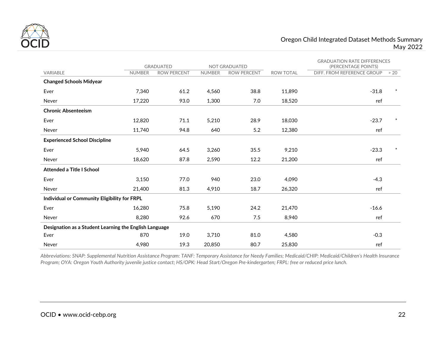

|                                                        |               | <b>GRADUATED</b><br><b>NOT GRADUATED</b> |               |                    |                  | <b>GRADUATION RATE DIFFERENCES</b><br>(PERCENTAGE POINTS) |        |
|--------------------------------------------------------|---------------|------------------------------------------|---------------|--------------------|------------------|-----------------------------------------------------------|--------|
| VARIABLE                                               | <b>NUMBER</b> | <b>ROW PERCENT</b>                       | <b>NUMBER</b> | <b>ROW PERCENT</b> | <b>ROW TOTAL</b> | DIFF. FROM REFERENCE GROUP                                | > 20   |
| <b>Changed Schools Midyear</b>                         |               |                                          |               |                    |                  |                                                           |        |
| Ever                                                   | 7,340         | 61.2                                     | 4,560         | 38.8               | 11,890           | $-31.8$                                                   | $\ast$ |
| Never                                                  | 17,220        | 93.0                                     | 1,300         | 7.0                | 18,520           | ref                                                       |        |
| <b>Chronic Absenteeism</b>                             |               |                                          |               |                    |                  |                                                           |        |
| Ever                                                   | 12,820        | 71.1                                     | 5,210         | 28.9               | 18,030           | $-23.7$                                                   | $\ast$ |
| Never                                                  | 11,740        | 94.8                                     | 640           | 5.2                | 12,380           | ref                                                       |        |
| <b>Experienced School Discipline</b>                   |               |                                          |               |                    |                  |                                                           |        |
| Ever                                                   | 5,940         | 64.5                                     | 3,260         | 35.5               | 9,210            | $-23.3$                                                   |        |
| Never                                                  | 18,620        | 87.8                                     | 2,590         | 12.2               | 21,200           | ref                                                       |        |
| <b>Attended a Title I School</b>                       |               |                                          |               |                    |                  |                                                           |        |
| Ever                                                   | 3,150         | 77.0                                     | 940           | 23.0               | 4,090            | $-4.3$                                                    |        |
| Never                                                  | 21,400        | 81.3                                     | 4,910         | 18.7               | 26,320           | ref                                                       |        |
| Individual or Community Eligibility for FRPL           |               |                                          |               |                    |                  |                                                           |        |
| Ever                                                   | 16,280        | 75.8                                     | 5,190         | 24.2               | 21,470           | $-16.6$                                                   |        |
| Never                                                  | 8,280         | 92.6                                     | 670           | 7.5                | 8,940            | ref                                                       |        |
| Designation as a Student Learning the English Language |               |                                          |               |                    |                  |                                                           |        |
| Ever                                                   | 870           | 19.0                                     | 3,710         | 81.0               | 4,580            | $-0.3$                                                    |        |
| Never                                                  | 4,980         | 19.3                                     | 20,850        | 80.7               | 25,830           | ref                                                       |        |

*Abbreviations: SNAP: Supplemental Nutrition Assistance Program: TANF: Temporary Assistance for Needy Families; Medicaid/CHIP: Medicaid/Children's Health Insurance Program; OYA: Oregon Youth Authority juvenile justice contact; HS/OPK: Head Start/Oregon Pre-kindergarten; FRPL: free or reduced price lunch.*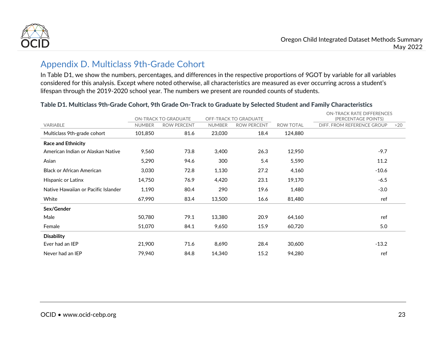

# Appendix D. Multiclass 9th-Grade Cohort

In Table D1, we show the numbers, percentages, and differences in the respective proportions of 9GOT by variable for all variables considered for this analysis. Except where noted otherwise, all characteristics are measured as ever occurring across a student's lifespan through the 2019-2020 school year. The numbers we present are rounded counts of students.

<span id="page-22-0"></span>

|                                     |               | <b>ON-TRACK TO GRADUATE</b> | OFF-TRACK TO GRADUATE |                    |                  | <b>ON-TRACK RATE DIFFERENCES</b><br>(PERCENTAGE POINTS) |     |
|-------------------------------------|---------------|-----------------------------|-----------------------|--------------------|------------------|---------------------------------------------------------|-----|
| VARIABLE                            | <b>NUMBER</b> | <b>ROW PERCENT</b>          | <b>NUMBER</b>         | <b>ROW PERCENT</b> | <b>ROW TOTAL</b> | DIFF. FROM REFERENCE GROUP                              | >20 |
| Multiclass 9th-grade cohort         | 101,850       | 81.6                        | 23,030                | 18.4               | 124,880          |                                                         |     |
| <b>Race and Ethnicity</b>           |               |                             |                       |                    |                  |                                                         |     |
| American Indian or Alaskan Native   | 9,560         | 73.8                        | 3,400                 | 26.3               | 12,950           | $-9.7$                                                  |     |
| Asian                               | 5,290         | 94.6                        | 300                   | 5.4                | 5,590            | 11.2                                                    |     |
| <b>Black or African American</b>    | 3,030         | 72.8                        | 1,130                 | 27.2               | 4,160            | $-10.6$                                                 |     |
| Hispanic or Latinx                  | 14,750        | 76.9                        | 4,420                 | 23.1               | 19,170           | $-6.5$                                                  |     |
| Native Hawaiian or Pacific Islander | 1,190         | 80.4                        | 290                   | 19.6               | 1,480            | $-3.0$                                                  |     |
| White                               | 67,990        | 83.4                        | 13,500                | 16.6               | 81,480           | ref                                                     |     |
| Sex/Gender                          |               |                             |                       |                    |                  |                                                         |     |
| Male                                | 50,780        | 79.1                        | 13,380                | 20.9               | 64,160           | ref                                                     |     |
| Female                              | 51,070        | 84.1                        | 9,650                 | 15.9               | 60,720           | 5.0                                                     |     |
| <b>Disability</b>                   |               |                             |                       |                    |                  |                                                         |     |
| Ever had an IEP                     | 21,900        | 71.6                        | 8,690                 | 28.4               | 30,600           | $-13.2$                                                 |     |
| Never had an IEP                    | 79,940        | 84.8                        | 14,340                | 15.2               | 94,280           | ref                                                     |     |

#### Table D1. Multiclass 9th-Grade Cohort, 9th Grade On-Track to Graduate by Selected Student and Family Characteristics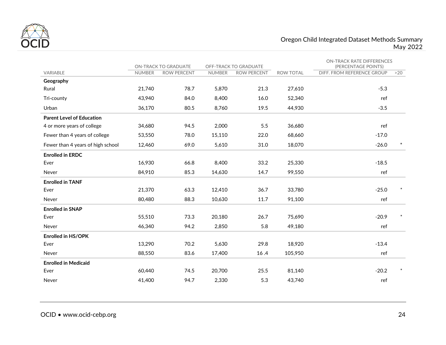

#### Oregon Child Integrated Dataset Methods Summary May 2022

|                                   |               | ON-TRACK TO GRADUATE | OFF-TRACK TO GRADUATE |             |                  | <b>ON-TRACK RATE DIFFERENCES</b><br>(PERCENTAGE POINTS) |        |
|-----------------------------------|---------------|----------------------|-----------------------|-------------|------------------|---------------------------------------------------------|--------|
| <b>VARIABLE</b>                   | <b>NUMBER</b> | <b>ROW PERCENT</b>   | <b>NUMBER</b>         | ROW PERCENT | <b>ROW TOTAL</b> | DIFF. FROM REFERENCE GROUP                              | >20    |
| Geography                         |               |                      |                       |             |                  |                                                         |        |
| Rural                             | 21,740        | 78.7                 | 5,870                 | 21.3        | 27,610           | $-5.3$                                                  |        |
| Tri-county                        | 43,940        | 84.0                 | 8,400                 | 16.0        | 52,340           | ref                                                     |        |
| Urban                             | 36,170        | 80.5                 | 8,760                 | 19.5        | 44.930           | $-3.5$                                                  |        |
| <b>Parent Level of Education</b>  |               |                      |                       |             |                  |                                                         |        |
| 4 or more years of college        | 34,680        | 94.5                 | 2,000                 | 5.5         | 36,680           | ref                                                     |        |
| Fewer than 4 years of college     | 53,550        | 78.0                 | 15,110                | 22.0        | 68,660           | $-17.0$                                                 |        |
| Fewer than 4 years of high school | 12,460        | 69.0                 | 5,610                 | 31.0        | 18,070           | $-26.0$                                                 | $\ast$ |
| <b>Enrolled in ERDC</b>           |               |                      |                       |             |                  |                                                         |        |
| Ever                              | 16,930        | 66.8                 | 8,400                 | 33.2        | 25,330           | $-18.5$                                                 |        |
| Never                             | 84,910        | 85.3                 | 14,630                | 14.7        | 99,550           | ref                                                     |        |
| <b>Enrolled in TANF</b>           |               |                      |                       |             |                  |                                                         |        |
| Ever                              | 21,370        | 63.3                 | 12,410                | 36.7        | 33,780           | $-25.0$                                                 |        |
| Never                             | 80,480        | 88.3                 | 10,630                | 11.7        | 91,100           | ref                                                     |        |
| <b>Enrolled in SNAP</b>           |               |                      |                       |             |                  |                                                         |        |
| Ever                              | 55,510        | 73.3                 | 20,180                | 26.7        | 75,690           | $-20.9$                                                 |        |
| Never                             | 46,340        | 94.2                 | 2,850                 | 5.8         | 49,180           | ref                                                     |        |
| <b>Enrolled in HS/OPK</b>         |               |                      |                       |             |                  |                                                         |        |
| Ever                              | 13,290        | 70.2                 | 5,630                 | 29.8        | 18,920           | $-13.4$                                                 |        |
| Never                             | 88,550        | 83.6                 | 17,400                | 16.4        | 105,950          | ref                                                     |        |
| <b>Enrolled in Medicaid</b>       |               |                      |                       |             |                  |                                                         |        |
| Ever                              | 60,440        | 74.5                 | 20,700                | 25.5        | 81,140           | $-20.2$                                                 | $\ast$ |
| Never                             | 41,400        | 94.7                 | 2,330                 | 5.3         | 43,740           | ref                                                     |        |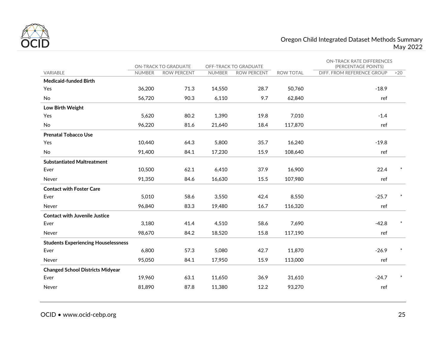

#### Oregon Child Integrated Dataset Methods Summary May 2022

|                                            |               | ON-TRACK TO GRADUATE | OFF-TRACK TO GRADUATE |                    |                  | <b>ON-TRACK RATE DIFFERENCES</b><br>(PERCENTAGE POINTS) |     |
|--------------------------------------------|---------------|----------------------|-----------------------|--------------------|------------------|---------------------------------------------------------|-----|
| VARIABLE                                   | <b>NUMBER</b> | <b>ROW PERCENT</b>   | <b>NUMBER</b>         | <b>ROW PERCENT</b> | <b>ROW TOTAL</b> | DIFF. FROM REFERENCE GROUP                              | >20 |
| <b>Medicaid-funded Birth</b>               |               |                      |                       |                    |                  |                                                         |     |
| Yes                                        | 36,200        | 71.3                 | 14,550                | 28.7               | 50,760           | $-18.9$                                                 |     |
| <b>No</b>                                  | 56,720        | 90.3                 | 6,110                 | 9.7                | 62,840           | ref                                                     |     |
| Low Birth Weight                           |               |                      |                       |                    |                  |                                                         |     |
| Yes                                        | 5,620         | 80.2                 | 1,390                 | 19.8               | 7,010            | $-1.4$                                                  |     |
| No                                         | 96,220        | 81.6                 | 21,640                | 18.4               | 117,870          | ref                                                     |     |
| <b>Prenatal Tobacco Use</b>                |               |                      |                       |                    |                  |                                                         |     |
| Yes                                        | 10,440        | 64.3                 | 5,800                 | 35.7               | 16,240           | $-19.8$                                                 |     |
| No                                         | 91,400        | 84.1                 | 17,230                | 15.9               | 108,640          | ref                                                     |     |
| <b>Substantiated Maltreatment</b>          |               |                      |                       |                    |                  |                                                         |     |
| Ever                                       | 10,500        | 62.1                 | 6,410                 | 37.9               | 16,900           | 22.4                                                    |     |
| Never                                      | 91.350        | 84.6                 | 16,630                | 15.5               | 107.980          | ref                                                     |     |
| <b>Contact with Foster Care</b>            |               |                      |                       |                    |                  |                                                         |     |
| Ever                                       | 5,010         | 58.6                 | 3,550                 | 42.4               | 8,550            | $-25.7$                                                 |     |
| Never                                      | 96,840        | 83.3                 | 19,480                | 16.7               | 116,320          | ref                                                     |     |
| <b>Contact with Juvenile Justice</b>       |               |                      |                       |                    |                  |                                                         |     |
| Ever                                       | 3,180         | 41.4                 | 4,510                 | 58.6               | 7,690            | $-42.8$                                                 |     |
| Never                                      | 98,670        | 84.2                 | 18,520                | 15.8               | 117,190          | ref                                                     |     |
| <b>Students Experiencing Houselessness</b> |               |                      |                       |                    |                  |                                                         |     |
| Ever                                       | 6,800         | 57.3                 | 5,080                 | 42.7               | 11,870           | $-26.9$                                                 |     |
| Never                                      | 95,050        | 84.1                 | 17,950                | 15.9               | 113,000          | ref                                                     |     |
| <b>Changed School Districts Midyear</b>    |               |                      |                       |                    |                  |                                                         |     |
| Ever                                       | 19,960        | 63.1                 | 11,650                | 36.9               | 31,610           | $-24.7$                                                 |     |
| Never                                      | 81,890        | 87.8                 | 11,380                | 12.2               | 93,270           | ref                                                     |     |
|                                            |               |                      |                       |                    |                  |                                                         |     |